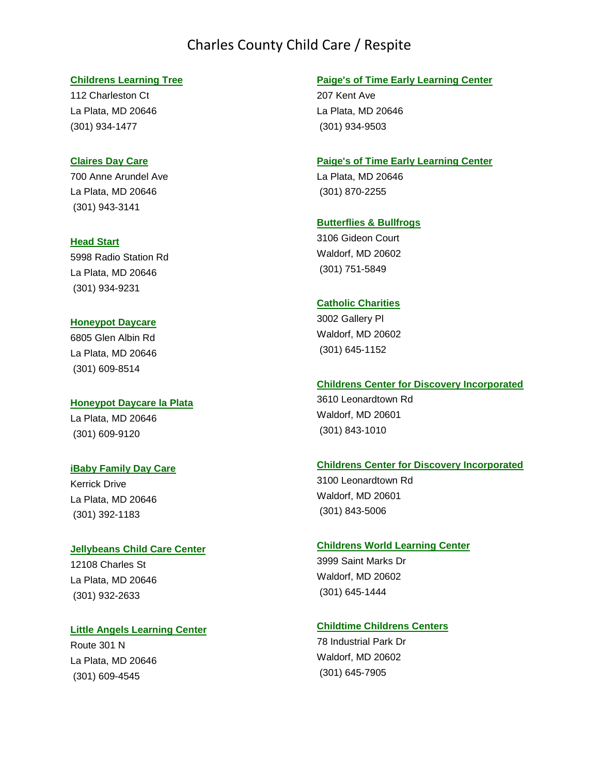## Charles County Child Care / Respite

## **[Childrens Learning Tree](http://childcareavenue.com/childcare/37191/Childrens-Learning-Tree.aspx)**

112 Charleston Ct La Plata, MD 20646 (301) 934-1477

## **Claires [Day Care](http://childcareavenue.com/childcare/37258/Claires-Day-Care.aspx)**

700 Anne Arundel Ave La Plata, MD 20646 (301) 943-3141

## **[Head Start](http://childcareavenue.com/childcare/37663/Head-Start.aspx)**

5998 Radio Station Rd La Plata, MD 20646 (301) 934-9231

## **[Honeypot Daycare](http://childcareavenue.com/childcare/37716/Honeypot-Daycare.aspx)**

6805 Glen Albin Rd La Plata, MD 20646 (301) 609-8514

## **[Honeypot Daycare la Plata](http://childcareavenue.com/childcare/37717/Honeypot-Daycare-la-Plata.aspx)**

La Plata, MD 20646 (301) 609-9120

## **[iBaby Family Day Care](http://childcareavenue.com/childcare/93258/iBaby-Family-Day-Care.aspx)**

Kerrick Drive La Plata, MD 20646 (301) 392-1183

### **[Jellybeans Child Care Center](http://childcareavenue.com/childcare/37769/Jellybeans-Child-Care-Center.aspx)**

12108 Charles St La Plata, MD 20646 (301) 932-2633

### **[Little Angels Learning Center](http://childcareavenue.com/childcare/38016/Little-Angels-Learning-Center.aspx)**

Route 301 N La Plata, MD 20646 (301) 609-4545

## **[Paige's of Time Early Learning Center](http://childcareavenue.com/childcare/38311/Paiges-of-Time-Early-Learning-Center.aspx)**

207 Kent Ave La Plata, MD 20646 (301) 934-9503

#### **[Paige's of Time Early Learning Center](http://childcareavenue.com/childcare/38310/Paiges-of-Time-Early-Learning-Center.aspx)**

La Plata, MD 20646 (301) 870-2255

## **[Butterflies & Bullfrogs](http://childcareavenue.com/childcare/92163/Butterflies-Bullfrogs.aspx)**

3106 Gideon Court Waldorf, MD 20602 (301) 751-5849

## **[Catholic Charities](http://childcareavenue.com/childcare/37087/Catholic-Charities.aspx)**

3002 Gallery Pl Waldorf, MD 20602 (301) 645-1152

#### **[Childrens Center for Discovery Incorporated](http://childcareavenue.com/childcare/37175/Childrens-Center-for-Discovery-Incorporated.aspx)**

3610 Leonardtown Rd Waldorf, MD 20601 (301) 843-1010

#### **[Childrens Center for Discovery Incorporated](http://childcareavenue.com/childcare/37174/Childrens-Center-for-Discovery-Incorporated.aspx)**

3100 Leonardtown Rd Waldorf, MD 20601 (301) 843-5006

#### **[Childrens World Learning Center](http://childcareavenue.com/childcare/37213/Childrens-World-Learning-Center.aspx)**

3999 Saint Marks Dr Waldorf, MD 20602 (301) 645-1444

## **[Childtime Childrens Centers](http://childcareavenue.com/childcare/37231/Childtime-Childrens-Centers.aspx)**

78 Industrial Park Dr Waldorf, MD 20602 (301) 645-7905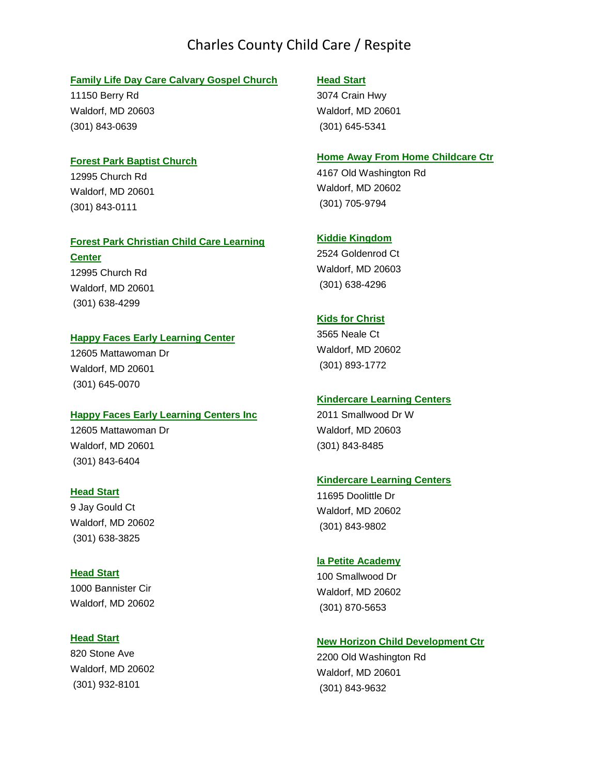# Charles County Child Care / Respite

#### **[Family Life Day Care Calvary Gospel Church](http://childcareavenue.com/childcare/37443/Family-Life-Day-Care-Calvary-Gospel-Church.aspx)**

11150 Berry Rd Waldorf, MD 20603 (301) 843-0639

#### **[Forest Park Baptist Church](http://childcareavenue.com/childcare/37484/Forest-Park-Baptist-Church.aspx)**

12995 Church Rd Waldorf, MD 20601 (301) 843-0111

#### **[Forest Park Christian Child Care Learning](http://childcareavenue.com/childcare/37485/Forest-Park-Christian-Child-Care-Learning-Center.aspx)**

**[Center](http://childcareavenue.com/childcare/37485/Forest-Park-Christian-Child-Care-Learning-Center.aspx)** 12995 Church Rd Waldorf, MD 20601 (301) 638-4299

## **[Happy Faces Early Learning Center](http://childcareavenue.com/childcare/37590/Happy-Faces-Early-Learning-Center.aspx)**

12605 Mattawoman Dr Waldorf, MD 20601 (301) 645-0070

### **[Happy Faces Early Learning Centers Inc](http://childcareavenue.com/childcare/37591/Happy-Faces-Early-Learning-Centers-Incorporated.aspx)**

12605 Mattawoman Dr Waldorf, MD 20601 (301) 843-6404

#### **[Head Start](http://childcareavenue.com/childcare/37679/Head-Start.aspx)**

9 Jay Gould Ct Waldorf, MD 20602 (301) 638-3825

## **[Head Start](http://childcareavenue.com/childcare/37676/Head-Start.aspx)**

1000 Bannister Cir Waldorf, MD 20602

## **[Head Start](http://childcareavenue.com/childcare/37678/Head-Start.aspx)**

820 Stone Ave Waldorf, MD 20602 (301) 932-8101

#### **[Head Start](http://childcareavenue.com/childcare/37677/Head-Start.aspx)**

3074 Crain Hwy Waldorf, MD 20601 (301) 645-5341

### **[Home Away From Home Childcare Ctr](http://childcareavenue.com/childcare/37709/Home-Away-From-Home-Childcare-Ctr.aspx)**

4167 Old Washington Rd Waldorf, MD 20602 (301) 705-9794

### **[Kiddie Kingdom](http://childcareavenue.com/childcare/37847/Kiddie-Kingdom.aspx)**

2524 Goldenrod Ct Waldorf, MD 20603 (301) 638-4296

## **[Kids for Christ](http://childcareavenue.com/childcare/37884/Kids-for-Christ.aspx)**

3565 Neale Ct Waldorf, MD 20602 (301) 893-1772

## **[Kindercare Learning Centers](http://childcareavenue.com/childcare/37939/Kindercare-Learning-Centers.aspx)**

2011 Smallwood Dr W Waldorf, MD 20603 (301) 843-8485

#### **[Kindercare Learning Centers](http://childcareavenue.com/childcare/37938/Kindercare-Learning-Centers.aspx)**

11695 Doolittle Dr Waldorf, MD 20602 (301) 843-9802

## **[la Petite Academy](http://childcareavenue.com/childcare/37969/la-Petite-Academy.aspx)**

100 Smallwood Dr Waldorf, MD 20602 (301) 870-5653

## **[New Horizon Child Development Ctr](http://childcareavenue.com/childcare/38248/New-Horizon-Child-Development-Ctr.aspx)**

2200 Old Washington Rd Waldorf, MD 20601 (301) 843-9632